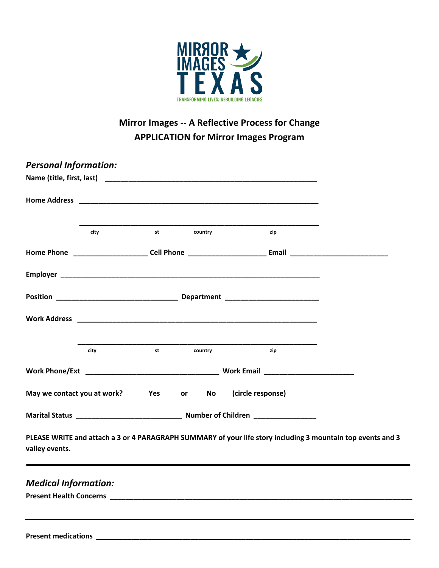

## **Mirror Images -- A Reflective Process for Change APPLICATION for Mirror Images Program**

| <b>Personal Information:</b> |      |                                                                                                                                                                                                                                |         |                                                                                                                                                                                                                               |  |
|------------------------------|------|--------------------------------------------------------------------------------------------------------------------------------------------------------------------------------------------------------------------------------|---------|-------------------------------------------------------------------------------------------------------------------------------------------------------------------------------------------------------------------------------|--|
|                              |      |                                                                                                                                                                                                                                |         | Name (title, first, last) and the contract of the contract of the contract of the contract of the contract of the contract of the contract of the contract of the contract of the contract of the contract of the contract of |  |
|                              |      |                                                                                                                                                                                                                                |         |                                                                                                                                                                                                                               |  |
|                              | city | st                                                                                                                                                                                                                             | country | zip                                                                                                                                                                                                                           |  |
|                              |      |                                                                                                                                                                                                                                |         |                                                                                                                                                                                                                               |  |
|                              |      |                                                                                                                                                                                                                                |         |                                                                                                                                                                                                                               |  |
|                              |      |                                                                                                                                                                                                                                |         |                                                                                                                                                                                                                               |  |
|                              |      |                                                                                                                                                                                                                                |         |                                                                                                                                                                                                                               |  |
|                              | city | st and the state of the state of the state of the state of the state of the state of the state of the state of the state of the state of the state of the state of the state of the state of the state of the state of the sta | country | zip                                                                                                                                                                                                                           |  |
|                              |      |                                                                                                                                                                                                                                |         |                                                                                                                                                                                                                               |  |
|                              |      |                                                                                                                                                                                                                                |         | May we contact you at work? Yes or No (circle response)                                                                                                                                                                       |  |
|                              |      |                                                                                                                                                                                                                                |         |                                                                                                                                                                                                                               |  |
| valley events.               |      |                                                                                                                                                                                                                                |         | PLEASE WRITE and attach a 3 or 4 PARAGRAPH SUMMARY of your life story including 3 mountain top events and 3                                                                                                                   |  |
| <b>Medical Information:</b>  |      |                                                                                                                                                                                                                                |         |                                                                                                                                                                                                                               |  |